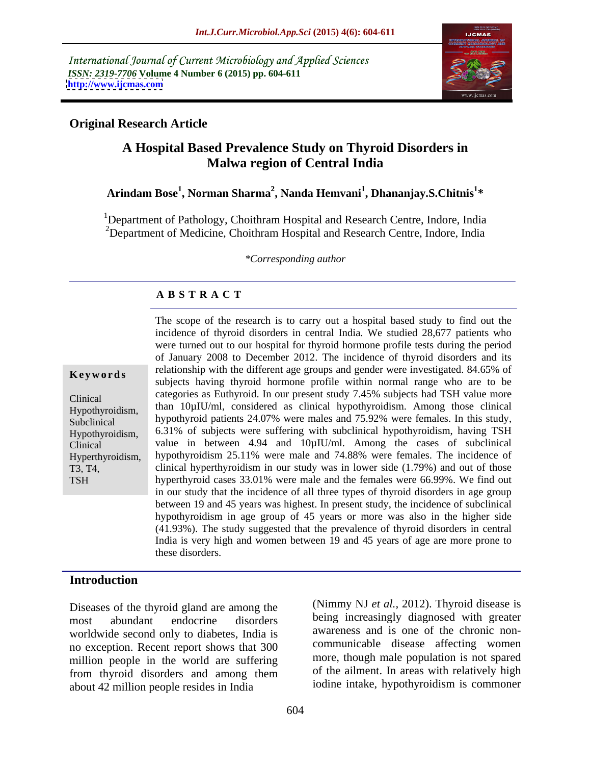International Journal of Current Microbiology and Applied Sciences *ISSN: 2319-7706* **Volume 4 Number 6 (2015) pp. 604-611 <http://www.ijcmas.com>**



# **Original Research Article**

# **A Hospital Based Prevalence Study on Thyroid Disorders in Malwa region of Central India**

#### **Arindam Bose<sup>1</sup> , Norman Sharma<sup>2</sup> , Nanda Hemvani<sup>1</sup> , Dhananjay.S.Chitnis<sup>1</sup> \***

<sup>1</sup>Department of Pathology, Choithram Hospital and Research Centre, Indore, India <sup>2</sup>Department of Medicine, Choithram Hospital and Research Centre, Indore, India

*\*Corresponding author*

# **A B S T R A C T**

**TSH** 

The scope of the research is to carry out a hospital based study to find out the incidence of thyroid disorders in central India. We studied 28,677 patients who were turned out to our hospital for thyroid hormone profile tests during the period of January 2008 to December 2012. The incidence of thyroid disorders and its relationship with the different age groups and gender were investigated. 84.65% of **Keywords**<br>subjects having thyroid hormone profile within normal range who are to be categories as Euthyroid. In our present study 7.45% subjects had TSH value more Clinical  $Hypothyroidism$ , than  $10\mu IU/ml$ , considered as clinical hypothyroidism. Among those clinical hypothyroid patients 24.07% were males and 75.92% were females. In this study, Subclinical 6.31% of subjects were suffering with subclinical hypothyroidism, having TSH Hypothyroidism, value in between 4.94 and 10µIU/ml. Among the cases of subclinical Clinical Hyperthyroidism, hypothyroidism 25.11% were male and 74.88% were females. The incidence of clinical hyperthyroidism in our study was in lower side (1.79%) and out of those T3, T4, hyperthyroid cases 33.01% were male and the females were 66.99%. We find out in our study that the incidence of all three types of thyroid disorders in age group between 19 and 45 years was highest. In present study, the incidence of subclinical hypothyroidism in age group of 45 years or more was also in the higher side (41.93%). The study suggested that the prevalence of thyroid disorders in central India is very high and women between 19 and 45 years of age are more prone to these disorders.

# **Introduction**

Diseases of the thyroid gland are among the most abundant endocrine disorders being increasingly diagnosed with greater worldwide second only to diabetes, India is no exception. Recent report shows that 300 million people in the world are suffering from thyroid disorders and among them about 42 million people resides in India

(Nimmy NJ *et al.,* 2012). Thyroid disease is awareness and is one of the chronic non communicable disease affecting women more, though male population is not spared of the ailment. In areas with relatively high iodine intake, hypothyroidism is commoner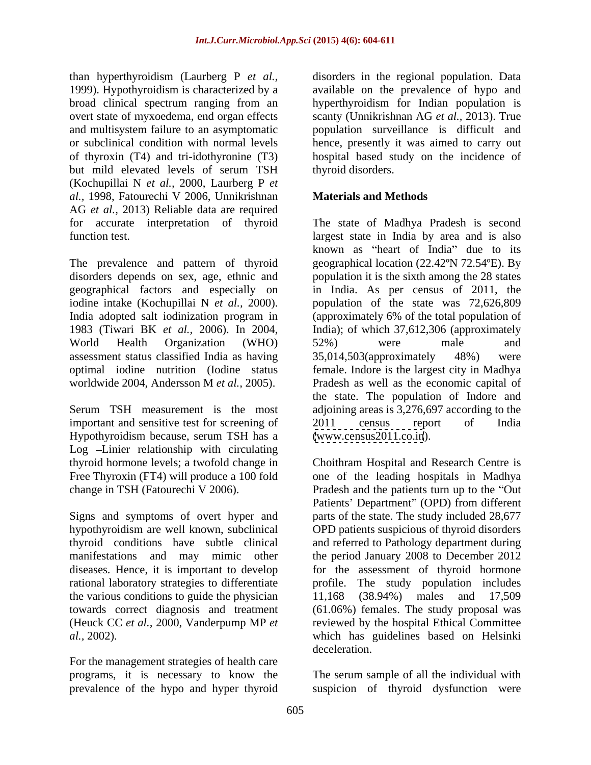than hyperthyroidism (Laurberg P *et al.,* 1999). Hypothyroidism is characterized by a but mild elevated levels of serum TSH (Kochupillai N *et al.,* 2000, Laurberg P *et al.,* 1998, Fatourechi V 2006, Unnikrishnan AG *et al.,* 2013) Reliable data are required

The prevalence and pattern of thyroid disorders depends on sex, age, ethnic and population it is the sixth among the 28 states geographical factors and especially on in India. As per census of 2011, the iodine intake (Kochupillai N *et al.*, 2000). <br>India adopted salt iodinization program in (approximately 6% of the total population of 1983 (Tiwari BK *et al.,* 2006). In 2004, India); of which 37,612,306 (approximately World Health Organization (WHO) assessment status classified India as having optimal iodine nutrition (Iodine status female. Indore is the largest city in Madhya worldwide 2004, Andersson M *et al.,* 2005). Pradesh as well as the economic capital of

important and sensitive test for screening of 2011 census report of India Hypothyroidism because, serum TSH has a Log Linier relationship with circulating

the various conditions to guide the physician 11,168 (38.94%) males and 17,509

prevalence of the hypo and hyper thyroid suspicion of thyroid dysfunction were

broad clinical spectrum ranging from an hyperthyroidism for Indian population is overt state of myxoedema, end organ effects scanty (Unnikrishnan AG *etal.,* 2013). True and multisystem failure to an asymptomatic population surveillance is difficult and or subclinical condition with normal levels hence, presently it was aimed to carry out of thyroxin (T4) and tri-idothyronine (T3) hospital based study on the incidence of disorders in the regional population. Data available on the prevalence of hypo and thyroid disorders.

#### **Materials and Methods**

for accurate interpretation of thyroid The state of Madhya Pradesh is second function test. largest state in India by area and is also Serum TSH measurement is the most adjoining areas is 3,276,697 according to the known as "heart of India" due to its geographical location (22.42ºN 72.54ºE). By population of the state was 72,626,809 (approximately 6% of the total population of 52%) were male and 35,014,503(approximately 48%) were the state. The population of Indore and 2011 census report of India [\(www.census2011.co.in](http://www.census2011.co.in)).

thyroid hormone levels; a twofold change in Choithram Hospital and Research Centre is Free Thyroxin (FT4) will produce a 100 fold one of the leading hospitals in Madhya change in TSH (Fatourechi V 2006). Pradesh and the patients turn up to the "Out Signs and symptoms of overt hyper and parts of the state. The study included 28,677 hypothyroidism are well known, subclinical OPD patients suspicious of thyroid disorders thyroid conditions have subtle clinical and referred to Pathology department during manifestations and may mimic other the period January 2008 to December 2012 diseases. Hence, it is important to develop for the assessment of thyroid hormone rational laboratory strategies to differentiate profile. The study population includes towards correct diagnosis and treatment (61.06%) females. The study proposal was (Heuck CC *et al.,* 2000, Vanderpump MP *et*  reviewed by the hospital Ethical Committee *al.,* 2002). **Actually 10** which has guidelines based on Helsinki deceleration.<br>For the management strategies of health care Patients' Department" (OPD) from different 11,168 (38.94%) males and 17,509 which has guidelines based on Helsinki deceleration.

programs, it is necessary to know the The serum sample of all the individual with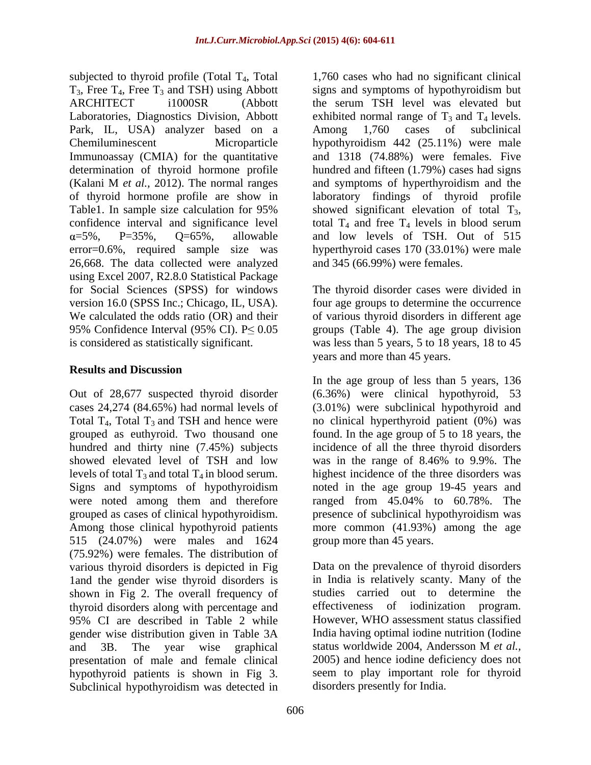subjected to thyroid profile (Total  $T_4$ , Total  $T_3$ , Free  $T_4$ , Free  $T_3$  and TSH) using Abbott signs and symptoms of hypothyroidism but ARCHITECT i1000SR (Abbott the serum TSH level was elevated but Laboratories, Diagnostics Division, Abbott exhibited normal range of  $T_3$  and  $T_4$  levels. Park, IL, USA) analyzer based on a Among 1,760 cases of subclinical Chemiluminescent Microparticle hypothyroidism 442 (25.11%) were male Immunoassay (CMIA) for the quantitative and 1318 (74.88%) were females. Five determination of thyroid hormone profile hundred and fifteen (1.79%) cases had signs (Kalani M *et al.,* 2012). The normal ranges of thyroid hormone profile are show in laboratory findings of thyroid profile Table1. In sample size calculation for  $95\%$  showed significant elevation of total  $T_3$ , confidence interval and significance level total  $T_4$  and free  $T_4$  levels in blood serum error=0.6%, required sample size was 26,668. The data collected were analyzed using Excel 2007, R2.8.0 Statistical Package for Social Sciences (SPSS) for windows The thyroid disorder cases were divided in version 16.0 (SPSS Inc.; Chicago, IL, USA). four age groups to determine the occurrence We calculated the odds ratio (OR) and their of various thyroid disorders in different age 95% Confidence Interval (95% CI).  $P \le 0.05$  groups (Table 4). The age group division is considered as statistically significant. was less than 5 years, 5 to 18 years, 18 to 45

#### **Results and Discussion**

Out of 28,677 suspected thyroid disorder (6.36%) were clinical hypothyroid, 53 cases 24,274 (84.65%) had normal levels of (3.01%) were subclinical hypothyroid and Total  $T_4$ , Total  $T_3$  and TSH and hence were no clinical hyperthyroid patient (0%) was grouped as euthyroid. Two thousand one found. In the age group of 5 to 18 years, the hundred and thirty nine (7.45%) subjects incidence of all the three thyroid disorders showed elevated level of TSH and low was in the range of 8.46% to 9.9%. The levels of total  $T_3$  and total  $T_4$  in blood serum. highest incidence of the three disorders was Signs and symptoms of hypothyroidism noted in the age group 19-45 years and were noted among them and therefore ranged from 45.04% to 60.78%. The grouped as cases of clinical hypothyroidism. presence of subclinical hypothyroidism was Among those clinical hypothyroid patients more common (41.93%) among the age 515 (24.07%) were males and 1624 (75.92%) were females. The distribution of various thyroid disorders is depicted in Fig 1and the gender wise thyroid disorders is shown in Fig 2. The overall frequency of thyroid disorders along with percentage and 95% CI are described in Table 2 while gender wise distribution given in Table 3A and 3B. The year wise graphical status worldwide 2004, Andersson M et al., presentation of male and female clinical hypothyroid patients is shown in Fig 3. Seem to play important role for thyroid<br>Subclinical hypothyroidism was detected in disorders presently for India.

=5%, P=35%, Q=65%, allowable and low levels of TSH. Out of 515 1,760 cases who had no significant clinical the serum TSH level was elevated but Among 1,760 cases of subclinical and symptoms of hyperthyroidism and the showed significant elevation of total  $T_3$ , total  $T_4$  and free  $T_4$  levels in blood serum hyperthyroid cases 170 (33.01%) were male and 345 (66.99%) were females.

years and more than 45 years.

In the age group of less than 5 years, 136 was in the range of 8.46% to 9.9%. The ranged from 45.04% to 60.78%. The group more than 45 years.

Data on the prevalence of thyroid disorders in India is relatively scanty. Many of the studies carried out to determine the effectiveness of iodinization program. However, WHO assessment status classified India having optimal iodine nutrition (Iodine status worldwide 2004, Andersson M *et al.,* 2005) and hence iodine deficiency does not seem to play important role for thyroid disorders presently for India.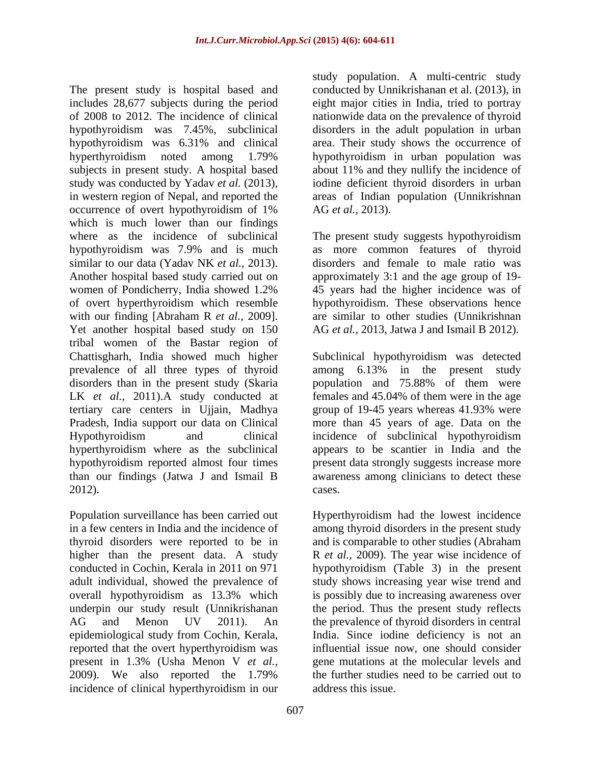The present study is hospital based and conducted by Unnikrishanan et al. (2013), in includes 28,677 subjects during the period eight major cities in India, tried to portray of 2008 to 2012. The incidence of clinical nationwide data on the prevalence of thyroid hypothyroidism was 7.45%, subclinical disorders in the adult population in urban hypothyroidism was 6.31% and clinical hyperthyroidism noted among 1.79% subjects in present study. A hospital based about 11% and they nullify the incidence of study was conducted by Yadav *et al.* (2013)*,* in western region of Nepal, and reported the areas of Indian population (Unnikrishnan occurrence of overt hypothyroidism of 1% AG et al., 2013). which is much lower than our findings where as the incidence of subclinical The present study suggests hypothyroidism hypothyroidism was 7.9% and is much similar to our data (Yadav NK *et al.*, 2013). disorders and female to male ratio was<br>Another hospital based study carried out on approximately 3:1 and the age group of 19women of Pondicherry, India showed 1.2% 45 years had the higher incidence was of of overt hyperthyroidism which resemble<br>with our finding [Abraham R  $et$  al., 2009]. with our finding [Abraham R *et al.*, 2009]. are similar to other studies (Unnikrishnan Yet another hospital based study on 150 AG *et al.*, 2013, Jatwa J and Ismail B 2012). tribal women of the Bastar region of Chattisgharh, India showed much higher Subclinical hypothyroidism was detected prevalence of all three types of thyroid among 6.13% in the present study disorders than in the present study (Skaria population and 75.88% of them were LK *et al.,* 2011).A study conducted at tertiary care centers in Ujjain, Madhya Pradesh, India support our data on Clinical more than 45 years of age. Data on the Hypothyroidism and clinical incidence of subclinical hypothyroidism hyperthyroidism where as the subclinical hypothyroidism reported almost four times present data strongly suggests increase more than our findings (Jatwa J and Ismail B awareness among clinicians to detect these

thyroid disorders were reported to be in higher than the present data. A study reported that the overt hyperthyroidism was present in 1.3% (Usha Menon V *et al.,* 2009). We also reported the 1.79% incidence of clinical hyperthyroidism in our

study population. A multi-centric study area. Their study shows the occurrence of hypothyroidism in urban population was iodine deficient thyroid disorders in urban AG *et al.,* 2013).

as more common features of thyroid disorders and female to male ratio was approximately 3:1 and the age group of 19- 45 years had the higher incidence was of hypothyroidism. These observations hence are similar to other studies (Unnikrishnan AG *et al.,* 2013, Jatwa J and Ismail B 2012).

among 6.13% in the present study females and 45.04% of them were in the age group of 19-45 years whereas 41.93% were incidence of subclinical hypothyroidism appears to be scantier in India and the cases.

2012).<br>Population surveillance has been carried out Hyperthyroidism had the lowest incidence in a few centers in India and the incidence of among thyroid disorders in the present study conducted in Cochin, Kerala in 2011 on 971 hypothyroidism (Table 3) in the present adult individual, showed the prevalence of study shows increasing year wise trend and overall hypothyroidism as 13.3% which is possibly due to increasing awareness over underpin our study result (Unnikrishanan the period. Thus the present study reflects AG and Menon UV 2011). An the prevalence of thyroid disorders in central epidemiological study from Cochin, Kerala, India. Since iodine deficiency is not an Hyperthyroidism had the lowest incidence and is comparable to other studies (Abraham R *et al.,* 2009). The year wise incidence of influential issue now, one should consider genemutations at the molecular levels and the further studies need to be carried out to address this issue.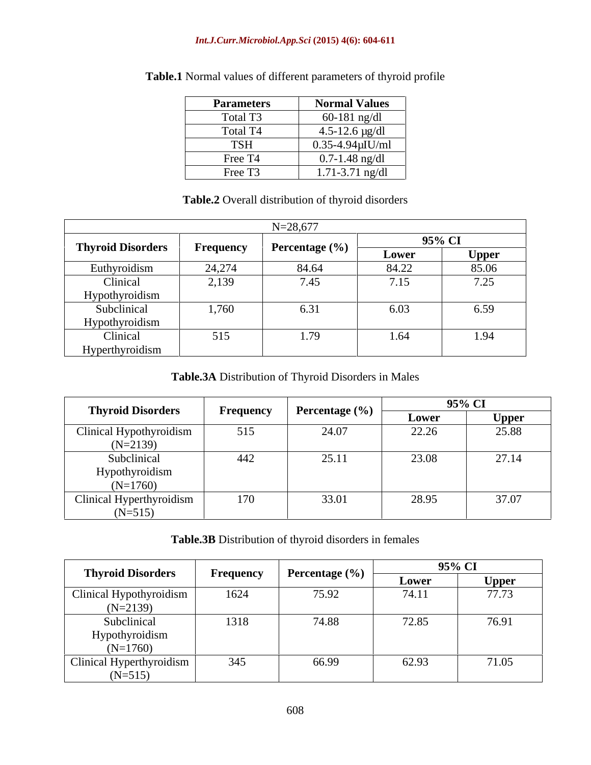#### *Int.J.Curr.Microbiol.App.Sci* **(2015) 4(6): 604-611**

| <b>Parameters</b>   | <b>Normal Values</b>    |
|---------------------|-------------------------|
| Total T3            | $60-181$ ng/dl          |
| Total T4            | $4.5 - 12.6$ µg/dl      |
| TSH                 | $0.35 - 4.94 \mu$ IU/ml |
| Free T4             | $0.7 - 1.48$ ng/dl      |
| Free T <sub>3</sub> | $1.71 - 3.71$ ng/dl     |

# **Table.1** Normal values of different parameters of thyroid profile

#### **Table.2** Overall distribution of thyroid disorders

|                          |                  | $N = 28,677$   |       |              |
|--------------------------|------------------|----------------|-------|--------------|
| <b>Thyroid Disorders</b> | <b>Frequency</b> | Percentage (%) |       | 95% CI       |
|                          |                  |                | Lower | <b>Upper</b> |
| Euthyroidism             | 24,274           | 84.64          | 84.22 | 85.06        |
| Clinical                 | 2,139            | 7.45           | 7.15  | 7.25         |
| Hypothyroidism           |                  |                |       |              |
| Subclinical              | 1,760            | 6.31           | 6.03  | 6.59         |
| Hypothyroidism           |                  |                |       |              |
| Clinical                 | 515              | 1.79           | 1.64  | 1.94         |
| Hyperthyroidism          |                  |                |       |              |

**Table.3A** Distribution of Thyroid Disorders in Males

| <b>Thyroid Disorders</b> |              |                |       | 95% CI              |
|--------------------------|--------------|----------------|-------|---------------------|
|                          | Frequency    | Percentage (%) | Lower | <b>Upper</b><br>. . |
| Clinical Hypothyroidism  | 515          | 24.07          | 22.26 | 25.88               |
| $(N=2139)$               |              |                |       |                     |
| Subclinical              | 442          | 25.11          | 23.08 | 27.14               |
| Hypothyroidism           |              |                |       |                     |
| $(N=1760)$               |              |                |       |                     |
| Clinical Hyperthyroidism | 170<br>1 / V | 33.01          | 28.95 | 37.07               |
| $(N=515)$                |              |                |       |                     |

# **Table.3B** Distribution of thyroid disorders in females

| <b>Thyroid Disorders</b> |           |                    |       | 95% CI       |
|--------------------------|-----------|--------------------|-------|--------------|
|                          | Frequency | Percentage $(\% )$ | Lower | <b>Upper</b> |
| Clinical Hypothyroidism  | 1624      | 75.92              | 74.11 | 77.73        |
| $(N=2139)$               |           |                    |       |              |
| Subclinical              | 1318      | 74.88              | 72.85 | 76.91        |
| Hypothyroidism           |           |                    |       |              |
| $(N=1760)$               |           |                    |       |              |
| Clinical Hyperthyroidism | 345       | 66.99              | 62.93 | 71.05        |
| $(N=515)$                |           |                    |       |              |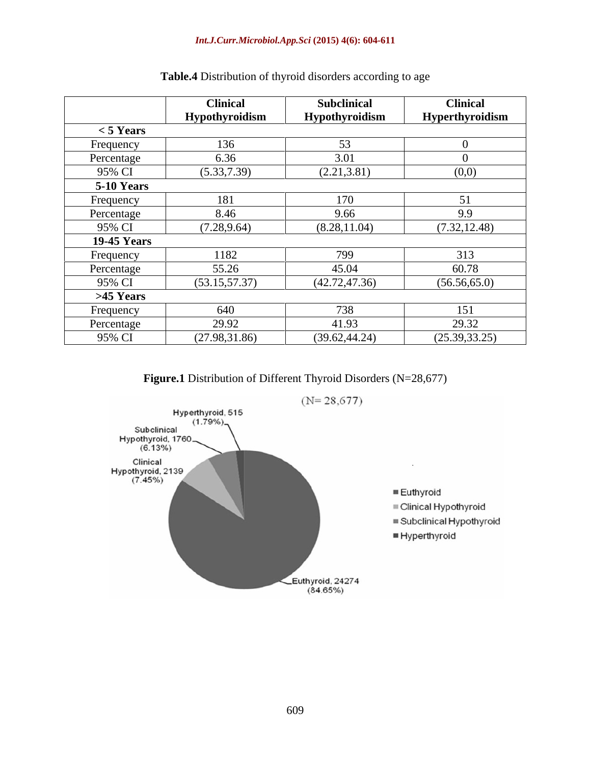#### *Int.J.Curr.Microbiol.App.Sci* **(2015) 4(6): 604-611**

|                    | <b>Clinical</b> | Subclinical    | <b>Clinical</b> |
|--------------------|-----------------|----------------|-----------------|
|                    | Hypothyroidism  | Hypothyroidism | Hyperthyroidism |
| $<$ 5 Years        |                 |                |                 |
| Frequency          | 136             | $\sim$         |                 |
| Percentage         | 6.36            | 3.01           |                 |
| 95% CI             | (5.33, 7.39)    | (2.21, 3.81)   | (0,0)           |
| 5-10 Years         |                 |                |                 |
| Frequency          | 181             | 170            | 51              |
| Percentage         | 8.46            | 9.66           | 9.9             |
| 95% CI             | (7.28, 9.64)    | (8.28, 11.04)  | (7.32, 12.48)   |
| <b>19-45 Years</b> |                 |                |                 |
| <b>Frequency</b>   | 1182            | 799            | 313             |
| Percentage         | 55.26           | 45.04          | 60.78           |
| 95% CI             | (53.15, 57.37)  | (42.72, 47.36) | (56.56, 65.0)   |
| >45 Years          |                 |                |                 |
| <b>Frequency</b>   | 640             | 700<br>ðδ      | 151             |
| Percentage         | 29.92           | 41.93          | 29.32           |
| 95% CI             | (27.98, 31.86)  | (39.62, 44.24) | (25.39, 33.25)  |

# **Table.4** Distribution of thyroid disorders according to age

**Figure.1** Distribution of Different Thyroid Disorders (N=28,677)

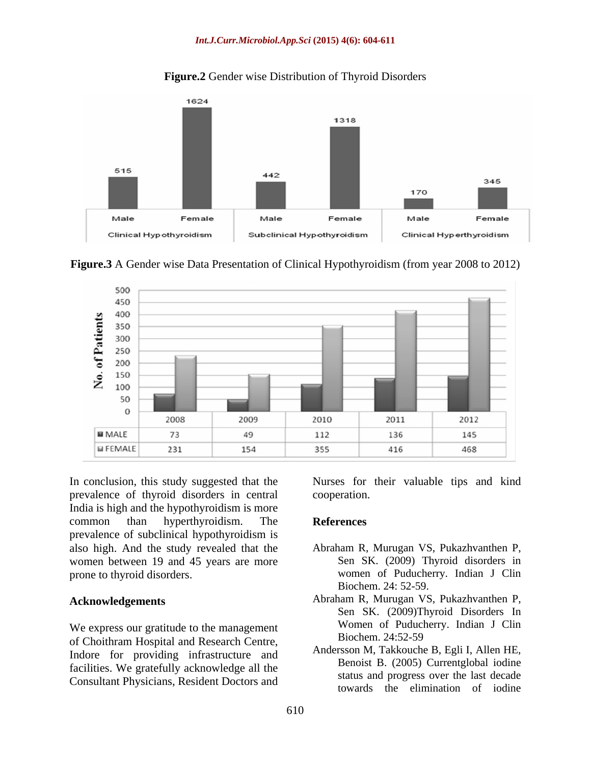#### *Int.J.Curr.Microbiol.App.Sci* **(2015) 4(6): 604-611**



#### **Figure.2** Gender wise Distribution of Thyroid Disorders

**Figure.3** A Gender wise Data Presentation of Clinical Hypothyroidism (from year 2008 to 2012)



In conclusion, this study suggested that the Nurses for their valuable tips and kind prevalence of thyroid disorders in central India is high and the hypothyroidism is more common than hyperthyroidism. The **References** prevalence of subclinical hypothyroidism is also high. And the study revealed that the women between 19 and 45 years are more prone to thyroid disorders. women of Puducherry. Indian J Clin

We express our gratitude to the management<br>of Choithrem Hospital and Bessexsh Centre Biochem. 24:52-59 of Choithram Hospital and Research Centre, Indore for providing infrastructure and facilities. We gratefully acknowledge all the Consultant Physicians, Resident Doctors and

cooperation.

#### **References**

- Abraham R, Murugan VS, Pukazhvanthen P, Sen SK. (2009) Thyroid disorders in Biochem. 24: 52-59.
- **Acknowledgements** Abraham R, Murugan VS, Pukazhvanthen P, Sen SK. (2009)Thyroid Disorders In Women of Puducherry. Indian J Clin Biochem. 24:52-59
	- Andersson M, Takkouche B, Egli I, Allen HE, Benoist B. (2005) Currentglobal iodine status and progress over the last decade towards the elimination of iodine